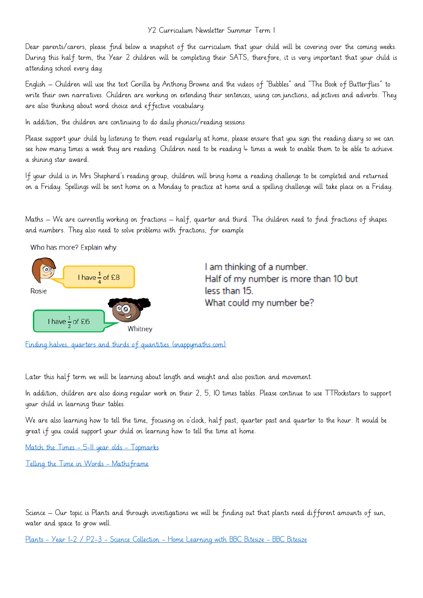## Y2 Curriculum Newsletter Summer Term 1

Dear parents/carers, please find below a snapshot of the curriculum that your child will be covering over the coming weeks. During this half term, the Year 2 children will be completing their SATS, therefore, it is very important that your child is attending school every day.

English – Children will use the text Gorilla by Anthony Browne and the videos of "Bubbles" and "The Book of Butterflies" to write their own narratives. Children are working on extending their sentences, using conjunctions, adjectives and adverbs. They are also thinking about word choice and effective vocabulary.

In addition, the children are continuing to do daily phonics/reading sessions.

Please support your child by listening to them read regularly at home, please ensure that you sign the reading diary so we can see how many times a week they are reading. Children need to be reading 4 times a week to enable them to be able to achieve a shining star award.

If your child is in Mrs Shepherd's reading group, children will bring home a reading challenge to be completed and returned on a Friday. Spellings will be sent home on a Monday to practice at home and a spelling challenge will take place on a Friday.

Maths – We are currently working on fractions – half, quarter and third. The children need to find fractions of shapes and numbers. They also need to solve problems with fractions, for example

Who has more? Explain why.



I am thinking of a number. Half of my number is more than 10 but less than 15. What could my number be?

[Finding halves, quarters and thirds of quantities \(snappymaths.com\)](http://snappymaths.com/counting/fractions/interactive/hqtsharing/hqtsharing.htm)

Later this half term we will be learning about length and weight and also position and movement.

In addition, children are also doing regular work on their 2, 5, 10 times tables. Please continue to use TTRockstars to support your child in learning their tables.

We are also learning how to tell the time, focusing on o'clock, half past, quarter past and quarter to the hour. It would be great if you could support your child on learning how to tell the time at home.

[Match the Times -](https://www.topmarks.co.uk/Flash.aspx?f=matchingpairstimev3) 5-II year olds - Topmarks

[Telling the Time in Words -](https://mathsframe.co.uk/en/resources/resource/117/telling-the-time-in-words) Mathsframe

Science – Our topic is Plants and through investigations we will be finding out that plants need different amounts of sun, water and space to grow well.

Plants - Year 1-2 / P2-3 - Science Collection - [Home Learning with BBC Bitesize -](https://www.bbc.co.uk/bitesize/articles/zbmmdp3) BBC Bitesize